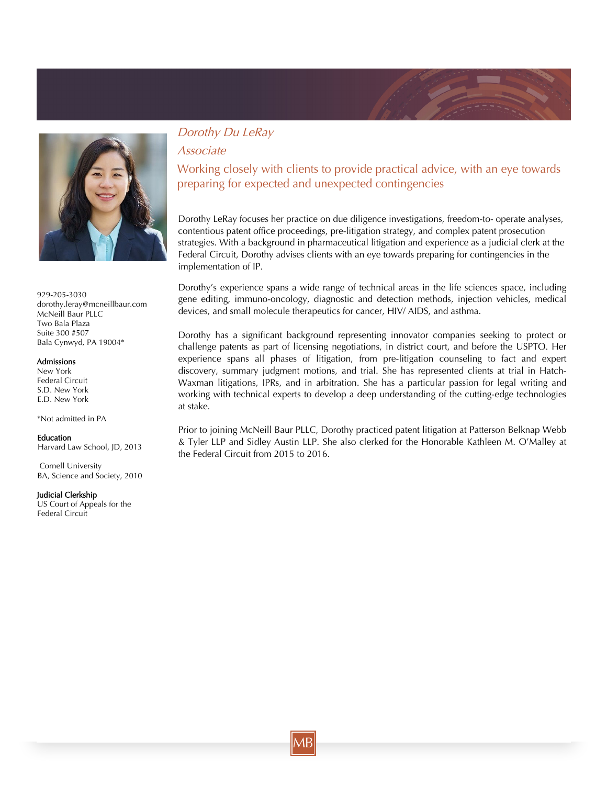



929-205-3030 dorothy.leray@mcneillbaur.com McNeill Baur PLLC Two Bala Plaza Suite 300 #507 Bala Cynwyd, PA 19004\*

### Admissions

New York Federal Circuit S.D. New York E.D. New York

\*Not admitted in PA

#### Education

Harvard Law School, JD, 2013

 Cornell University BA, Science and Society, 2010

#### Judicial Clerkship

US Court of Appeals for the Federal Circuit

## Dorothy Du LeRay

Associate

Working closely with clients to provide practical advice, with an eye towards preparing for expected and unexpected contingencies

Dorothy LeRay focuses her practice on due diligence investigations, freedom-to- operate analyses, contentious patent office proceedings, pre-litigation strategy, and complex patent prosecution strategies. With a background in pharmaceutical litigation and experience as a judicial clerk at the Federal Circuit, Dorothy advises clients with an eye towards preparing for contingencies in the implementation of IP.

Dorothy's experience spans a wide range of technical areas in the life sciences space, including gene editing, immuno-oncology, diagnostic and detection methods, injection vehicles, medical devices, and small molecule therapeutics for cancer, HIV/ AIDS, and asthma.

Dorothy has a significant background representing innovator companies seeking to protect or challenge patents as part of licensing negotiations, in district court, and before the USPTO. Her experience spans all phases of litigation, from pre-litigation counseling to fact and expert discovery, summary judgment motions, and trial. She has represented clients at trial in Hatch-Waxman litigations, IPRs, and in arbitration. She has a particular passion for legal writing and working with technical experts to develop a deep understanding of the cutting-edge technologies at stake.

Prior to joining McNeill Baur PLLC, Dorothy practiced patent litigation at Patterson Belknap Webb & Tyler LLP and Sidley Austin LLP. She also clerked for the Honorable Kathleen M. O'Malley at the Federal Circuit from 2015 to 2016.